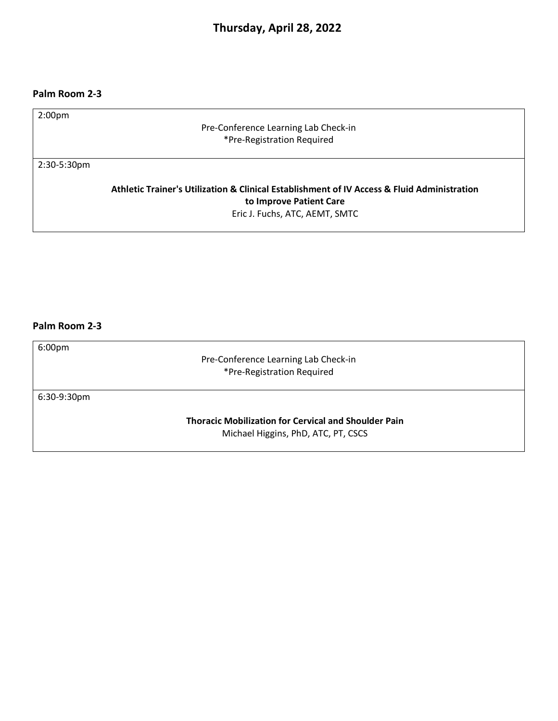# **Thursday, April 28, 2022**

### **Palm Room 2-3**

Pre-Conference Learning Lab Check-in \*Pre-Registration Required

2:30-5:30pm

**Athletic Trainer's Utilization & Clinical Establishment of IV Access & Fluid Administration to Improve Patient Care**  Eric J. Fuchs, ATC, AEMT, SMTC

## **Palm Room 2-3**

6:00pm

Pre-Conference Learning Lab Check-in \*Pre-Registration Required

6:30-9:30pm

**Thoracic Mobilization for Cervical and Shoulder Pain** Michael Higgins, PhD, ATC, PT, CSCS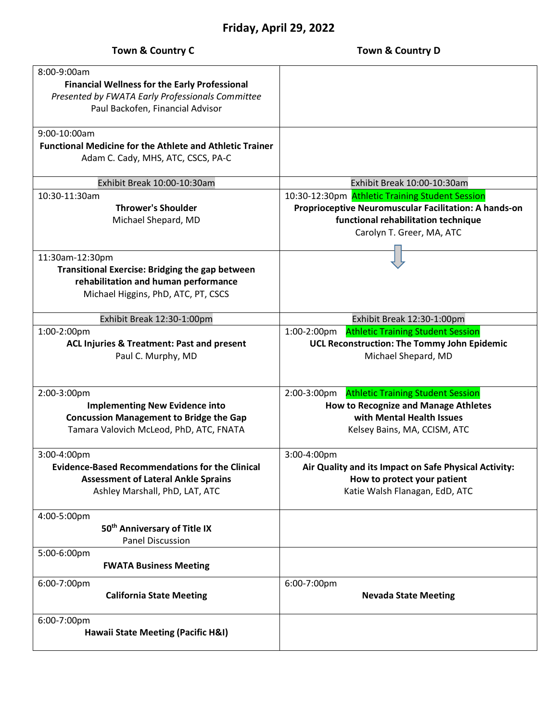# **Friday, April 29, 2022**

| <b>Town &amp; Country C</b>                                                                                                                                   | Town & Country D                                                                                                                                                             |
|---------------------------------------------------------------------------------------------------------------------------------------------------------------|------------------------------------------------------------------------------------------------------------------------------------------------------------------------------|
| $8:00-9:00am$<br><b>Financial Wellness for the Early Professional</b><br>Presented by FWATA Early Professionals Committee<br>Paul Backofen, Financial Advisor |                                                                                                                                                                              |
| 9:00-10:00am<br><b>Functional Medicine for the Athlete and Athletic Trainer</b><br>Adam C. Cady, MHS, ATC, CSCS, PA-C                                         |                                                                                                                                                                              |
| Exhibit Break 10:00-10:30am                                                                                                                                   | Exhibit Break 10:00-10:30am                                                                                                                                                  |
| 10:30-11:30am<br><b>Thrower's Shoulder</b><br>Michael Shepard, MD                                                                                             | 10:30-12:30pm Athletic Training Student Session<br>Proprioceptive Neuromuscular Facilitation: A hands-on<br>functional rehabilitation technique<br>Carolyn T. Greer, MA, ATC |
| 11:30am-12:30pm<br><b>Transitional Exercise: Bridging the gap between</b><br>rehabilitation and human performance<br>Michael Higgins, PhD, ATC, PT, CSCS      |                                                                                                                                                                              |
| Exhibit Break 12:30-1:00pm                                                                                                                                    | Exhibit Break 12:30-1:00pm                                                                                                                                                   |
| 1:00-2:00pm<br>ACL Injuries & Treatment: Past and present<br>Paul C. Murphy, MD                                                                               | 1:00-2:00pm Athletic Training Student Session<br>UCL Reconstruction: The Tommy John Epidemic<br>Michael Shepard, MD                                                          |
| 2:00-3:00pm<br><b>Implementing New Evidence into</b><br><b>Concussion Management to Bridge the Gap</b><br>Tamara Valovich McLeod, PhD, ATC, FNATA             | <b>Athletic Training Student Session</b><br>2:00-3:00pm<br><b>How to Recognize and Manage Athletes</b><br>with Mental Health Issues<br>Kelsey Bains, MA, CCISM, ATC          |
| 3:00-4:00pm<br><b>Evidence-Based Recommendations for the Clinical</b><br><b>Assessment of Lateral Ankle Sprains</b><br>Ashley Marshall, PhD, LAT, ATC         | 3:00-4:00pm<br>Air Quality and its Impact on Safe Physical Activity:<br>How to protect your patient<br>Katie Walsh Flanagan, EdD, ATC                                        |
| 4:00-5:00pm<br>50 <sup>th</sup> Anniversary of Title IX<br><b>Panel Discussion</b>                                                                            |                                                                                                                                                                              |
| 5:00-6:00pm<br><b>FWATA Business Meeting</b>                                                                                                                  |                                                                                                                                                                              |
| 6:00-7:00pm<br><b>California State Meeting</b>                                                                                                                | 6:00-7:00pm<br><b>Nevada State Meeting</b>                                                                                                                                   |
| 6:00-7:00pm                                                                                                                                                   |                                                                                                                                                                              |

**Hawaii State Meeting (Pacific H&I)**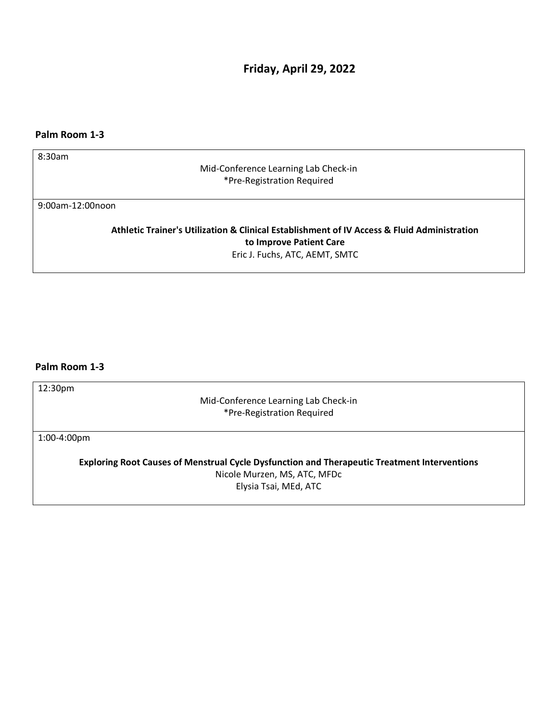**Friday, April 29, 2022**

## **Palm Room 1-3**

8:30am

Mid-Conference Learning Lab Check-in \*Pre-Registration Required

9:00am-12:00noon

**Athletic Trainer's Utilization & Clinical Establishment of IV Access & Fluid Administration to Improve Patient Care**  Eric J. Fuchs, ATC, AEMT, SMTC

## **Palm Room 1-3**

12:30pm

Mid-Conference Learning Lab Check-in \*Pre-Registration Required

1:00-4:00pm

**Exploring Root Causes of Menstrual Cycle Dysfunction and Therapeutic Treatment Interventions** Nicole Murzen, MS, ATC, MFDc

Elysia Tsai, MEd, ATC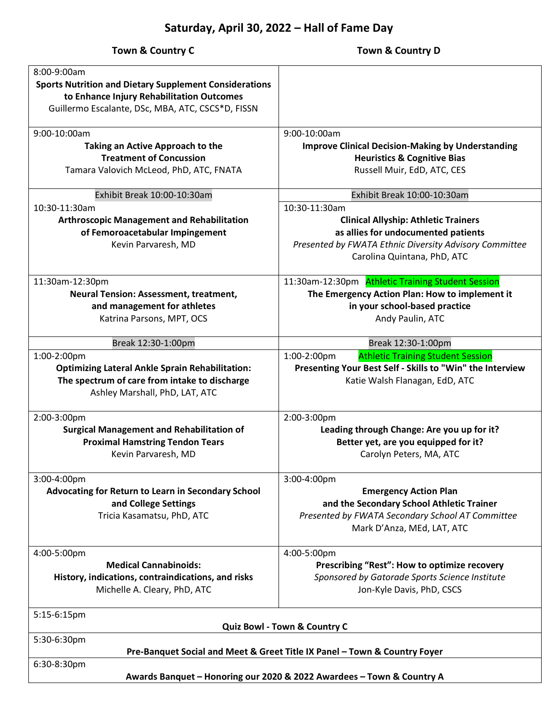#### **Town & Country C** Town & Country D 8:00-9:00am **Sports Nutrition and Dietary Supplement Considerations to Enhance Injury Rehabilitation Outcomes** Guillermo Escalante, DSc, MBA, ATC, CSCS\*D, FISSN 9:00-10:00am **Taking an Active Approach to the Treatment of Concussion** Tamara Valovich McLeod, PhD, ATC, FNATA 9:00-10:00am **Improve Clinical Decision-Making by Understanding Heuristics & Cognitive Bias** Russell Muir, EdD, ATC, CES Exhibit Break 10:00-10:30am Exhibit Break 10:00-10:30am 10:30-11:30am **Arthroscopic Management and Rehabilitation of Femoroacetabular Impingement** Kevin Parvaresh, MD 10:30-11:30am **Clinical Allyship: Athletic Trainers as allies for undocumented patients** *Presented by FWATA Ethnic Diversity Advisory Committee*  Carolina Quintana, PhD, ATC 11:30am-12:30pm **Neural Tension: Assessment, treatment, and management for athletes**  Katrina Parsons, MPT, OCS 11:30am-12:30pm Athletic Training Student Session **The Emergency Action Plan: How to implement it in your school-based practice**  Andy Paulin, ATC Break 12:30-1:00pm Break 12:30-1:00pm 1:00-2:00pm **Optimizing Lateral Ankle Sprain Rehabilitation: The spectrum of care from intake to discharge**  Ashley Marshall, PhD, LAT, ATC 1:00-2:00pm Athletic Training Student Session **Presenting Your Best Self - Skills to "Win" the Interview** Katie Walsh Flanagan, EdD, ATC 2:00-3:00pm **Surgical Management and Rehabilitation of Proximal Hamstring Tendon Tears** Kevin Parvaresh, MD 2:00-3:00pm **Leading through Change: Are you up for it? Better yet, are you equipped for it?** Carolyn Peters, MA, ATC 3:00-4:00pm **Advocating for Return to Learn in Secondary School and College Settings** Tricia Kasamatsu, PhD, ATC 3:00-4:00pm **Emergency Action Plan and the Secondary School Athletic Trainer**  *Presented by FWATA Secondary School AT Committee* Mark D'Anza, MEd, LAT, ATC 4:00-5:00pm **Medical Cannabinoids: History, indications, contraindications, and risks** Michelle A. Cleary, PhD, ATC 4:00-5:00pm **Prescribing "Rest": How to optimize recovery** *Sponsored by Gatorade Sports Science Institute* Jon-Kyle Davis, PhD, CSCS 5:15-6:15pm **Quiz Bowl - Town & Country C** 5:30-6:30pm **Pre-Banquet Social and Meet & Greet Title IX Panel – Town & Country Foyer** 6:30-8:30pm **Awards Banquet – Honoring our 2020 & 2022 Awardees – Town & Country A**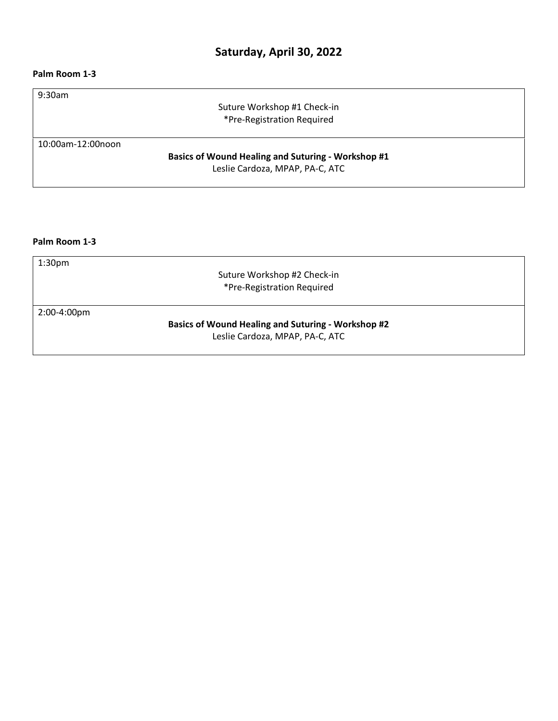## **Saturday, April 30, 2022**

### **Palm Room 1-3**

9:30am

Suture Workshop #1 Check-in \*Pre-Registration Required

10:00am-12:00noon

**Basics of Wound Healing and Suturing - Workshop #1** Leslie Cardoza, MPAP, PA-C, ATC

**Palm Room 1-3**

1:30pm

Suture Workshop #2 Check-in \*Pre-Registration Required

2:00-4:00pm

**Basics of Wound Healing and Suturing - Workshop #2** Leslie Cardoza, MPAP, PA-C, ATC